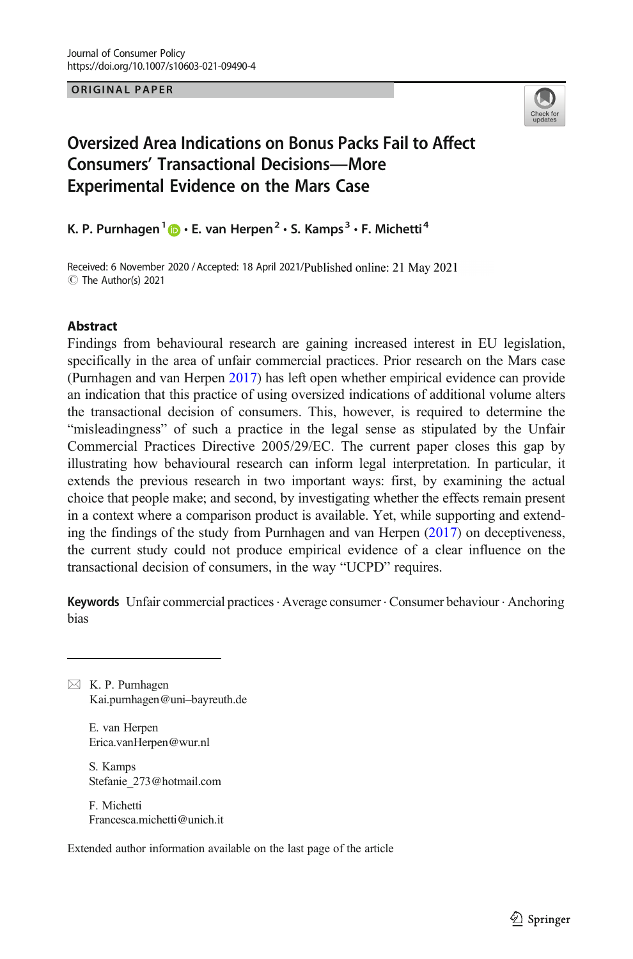**ORIGINAL PAPER** ORIGINAL PAPER



# Oversized Area Indications on Bonus Packs Fail to Affect Consumers' Transactional Decisions—More Experimental Evidence on the Mars Case

K. P. Purnhagen<sup>1</sup>  $\mathbf{D} \cdot \mathbf{E}$ . van Herpen<sup>2</sup>  $\cdot$  S. Kamps<sup>3</sup>  $\cdot$  F. Michetti<sup>4</sup>

Received: 6 November 2020 / Accepted: 18 April 2021/Published online: 21 May 2021 C The Author(s) 2021

### Abstract

Findings from behavioural research are gaining increased interest in EU legislation, specifically in the area of unfair commercial practices. Prior research on the Mars case (Purnhagen and van Herpen [2017](#page-20-0)) has left open whether empirical evidence can provide an indication that this practice of using oversized indications of additional volume alters the transactional decision of consumers. This, however, is required to determine the "misleadingness" of such a practice in the legal sense as stipulated by the Unfair Commercial Practices Directive 2005/29/EC. The current paper closes this gap by illustrating how behavioural research can inform legal interpretation. In particular, it extends the previous research in two important ways: first, by examining the actual choice that people make; and second, by investigating whether the effects remain present in a context where a comparison product is available. Yet, while supporting and extending the findings of the study from Purnhagen and van Herpen ([2017](#page-20-0)) on deceptiveness, the current study could not produce empirical evidence of a clear influence on the transactional decision of consumers, in the way "UCPD" requires.

Keywords Unfair commercial practices · Average consumer · Consumer behaviour · Anchoring bias

 $\boxtimes$  K. P. Purnhagen [Kai.purnhagen@uni](mailto:Kai.purnhagen@uni-bayreuth.de)–bayreuth.de

> E. van Herpen Erica.vanHerpen@wur.nl

S. Kamps Stefanie\_273@hotmail.com

F. Michetti Francesca.michetti@unich.it

Extended author information available on the last page of the article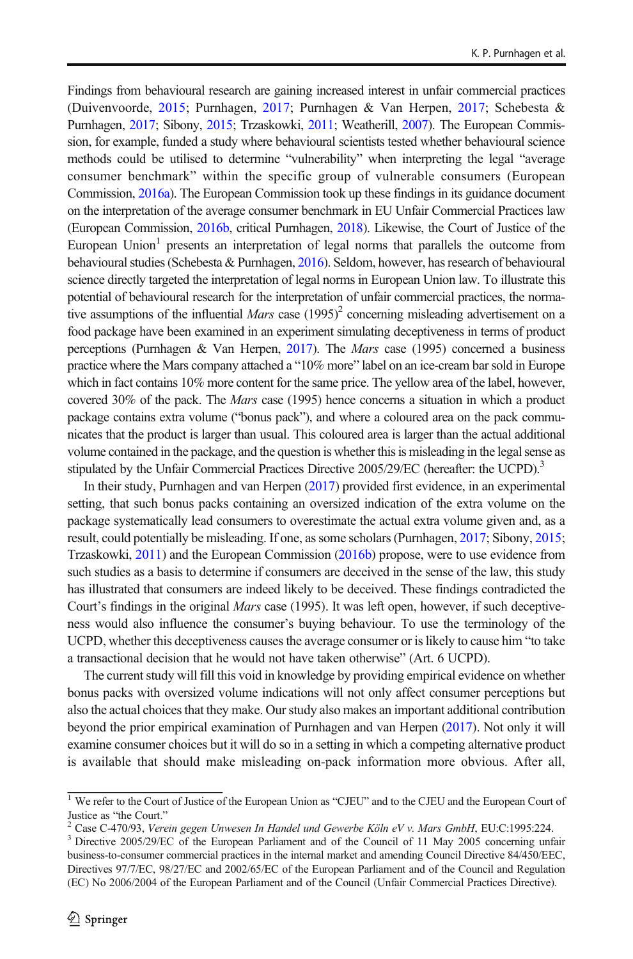Findings from behavioural research are gaining increased interest in unfair commercial practices (Duivenvoorde, [2015](#page-19-0); Purnhagen, [2017](#page-19-0); Purnhagen & Van Herpen, [2017;](#page-20-0) Schebesta & Purnhagen, [2017;](#page-20-0) Sibony, [2015;](#page-20-0) Trzaskowki, [2011;](#page-20-0) Weatherill, [2007](#page-20-0)). The European Commission, for example, funded a study where behavioural scientists tested whether behavioural science methods could be utilised to determine "vulnerability" when interpreting the legal "average consumer benchmark" within the specific group of vulnerable consumers (European Commission, [2016a\)](#page-19-0). The European Commission took up these findings in its guidance document on the interpretation of the average consumer benchmark in EU Unfair Commercial Practices law (European Commission, [2016b](#page-19-0), critical Purnhagen, [2018](#page-20-0)). Likewise, the Court of Justice of the European Union<sup>1</sup> presents an interpretation of legal norms that parallels the outcome from behavioural studies (Schebesta & Purnhagen, [2016\)](#page-20-0). Seldom, however, has research of behavioural science directly targeted the interpretation of legal norms in European Union law. To illustrate this potential of behavioural research for the interpretation of unfair commercial practices, the normative assumptions of the influential *Mars* case  $(1995)^2$  concerning misleading advertisement on a food package have been examined in an experiment simulating deceptiveness in terms of product perceptions (Purnhagen & Van Herpen, [2017](#page-20-0)). The Mars case (1995) concerned a business practice where the Mars company attached a "10% more" label on an ice-cream bar sold in Europe which in fact contains 10% more content for the same price. The yellow area of the label, however, covered 30% of the pack. The Mars case (1995) hence concerns a situation in which a product package contains extra volume ("bonus pack"), and where a coloured area on the pack communicates that the product is larger than usual. This coloured area is larger than the actual additional volume contained in the package, and the question is whether this is misleading in the legal sense as stipulated by the Unfair Commercial Practices Directive 2005/29/EC (hereafter: the UCPD).<sup>3</sup>

In their study, Purnhagen and van Herpen [\(2017\)](#page-20-0) provided first evidence, in an experimental setting, that such bonus packs containing an oversized indication of the extra volume on the package systematically lead consumers to overestimate the actual extra volume given and, as a result, could potentially be misleading. If one, as some scholars (Purnhagen, [2017;](#page-19-0) Sibony, [2015](#page-20-0); Trzaskowki, [2011](#page-20-0)) and the European Commission [\(2016b](#page-19-0)) propose, were to use evidence from such studies as a basis to determine if consumers are deceived in the sense of the law, this study has illustrated that consumers are indeed likely to be deceived. These findings contradicted the Court's findings in the original *Mars* case (1995). It was left open, however, if such deceptiveness would also influence the consumer's buying behaviour. To use the terminology of the UCPD, whether this deceptiveness causes the average consumer or is likely to cause him "to take a transactional decision that he would not have taken otherwise" (Art. 6 UCPD).

The current study will fill this void in knowledge by providing empirical evidence on whether bonus packs with oversized volume indications will not only affect consumer perceptions but also the actual choices that they make. Our study also makes an important additional contribution beyond the prior empirical examination of Purnhagen and van Herpen ([2017](#page-20-0)). Not only it will examine consumer choices but it will do so in a setting in which a competing alternative product is available that should make misleading on-pack information more obvious. After all,

<sup>&</sup>lt;sup>1</sup> We refer to the Court of Justice of the European Union as "CJEU" and to the CJEU and the European Court of

Justice as "the Court." <sup>2</sup> Case C-470/93, Verein gegen Unwesen In Handel und Gewerbe Köln eV v. Mars GmbH, EU:C:1995:224. <sup>3</sup> Directive 2005/29/EC of the European Parliament and of the Council of 11 May 2005 concerning unfair business-to-consumer commercial practices in the internal market and amending Council Directive 84/450/EEC, Directives 97/7/EC, 98/27/EC and 2002/65/EC of the European Parliament and of the Council and Regulation (EC) No 2006/2004 of the European Parliament and of the Council (Unfair Commercial Practices Directive).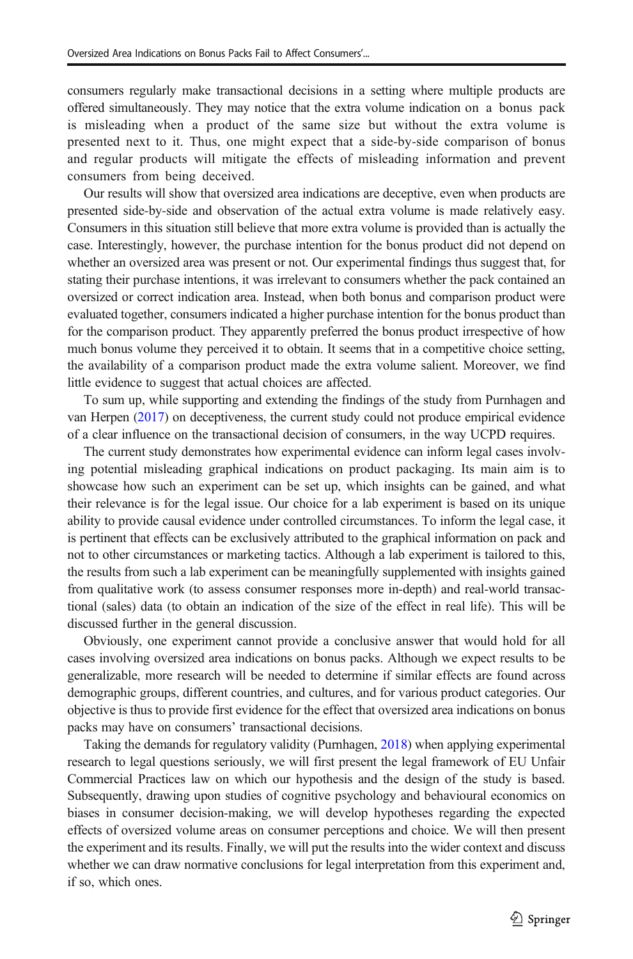consumers regularly make transactional decisions in a setting where multiple products are offered simultaneously. They may notice that the extra volume indication on a bonus pack is misleading when a product of the same size but without the extra volume is presented next to it. Thus, one might expect that a side-by-side comparison of bonus and regular products will mitigate the effects of misleading information and prevent consumers from being deceived.

Our results will show that oversized area indications are deceptive, even when products are presented side-by-side and observation of the actual extra volume is made relatively easy. Consumers in this situation still believe that more extra volume is provided than is actually the case. Interestingly, however, the purchase intention for the bonus product did not depend on whether an oversized area was present or not. Our experimental findings thus suggest that, for stating their purchase intentions, it was irrelevant to consumers whether the pack contained an oversized or correct indication area. Instead, when both bonus and comparison product were evaluated together, consumers indicated a higher purchase intention for the bonus product than for the comparison product. They apparently preferred the bonus product irrespective of how much bonus volume they perceived it to obtain. It seems that in a competitive choice setting, the availability of a comparison product made the extra volume salient. Moreover, we find little evidence to suggest that actual choices are affected.

To sum up, while supporting and extending the findings of the study from Purnhagen and van Herpen ([2017](#page-20-0)) on deceptiveness, the current study could not produce empirical evidence of a clear influence on the transactional decision of consumers, in the way UCPD requires.

The current study demonstrates how experimental evidence can inform legal cases involving potential misleading graphical indications on product packaging. Its main aim is to showcase how such an experiment can be set up, which insights can be gained, and what their relevance is for the legal issue. Our choice for a lab experiment is based on its unique ability to provide causal evidence under controlled circumstances. To inform the legal case, it is pertinent that effects can be exclusively attributed to the graphical information on pack and not to other circumstances or marketing tactics. Although a lab experiment is tailored to this, the results from such a lab experiment can be meaningfully supplemented with insights gained from qualitative work (to assess consumer responses more in-depth) and real-world transactional (sales) data (to obtain an indication of the size of the effect in real life). This will be discussed further in the general discussion.

Obviously, one experiment cannot provide a conclusive answer that would hold for all cases involving oversized area indications on bonus packs. Although we expect results to be generalizable, more research will be needed to determine if similar effects are found across demographic groups, different countries, and cultures, and for various product categories. Our objective is thus to provide first evidence for the effect that oversized area indications on bonus packs may have on consumers' transactional decisions.

Taking the demands for regulatory validity (Purnhagen, [2018\)](#page-20-0) when applying experimental research to legal questions seriously, we will first present the legal framework of EU Unfair Commercial Practices law on which our hypothesis and the design of the study is based. Subsequently, drawing upon studies of cognitive psychology and behavioural economics on biases in consumer decision-making, we will develop hypotheses regarding the expected effects of oversized volume areas on consumer perceptions and choice. We will then present the experiment and its results. Finally, we will put the results into the wider context and discuss whether we can draw normative conclusions for legal interpretation from this experiment and, if so, which ones.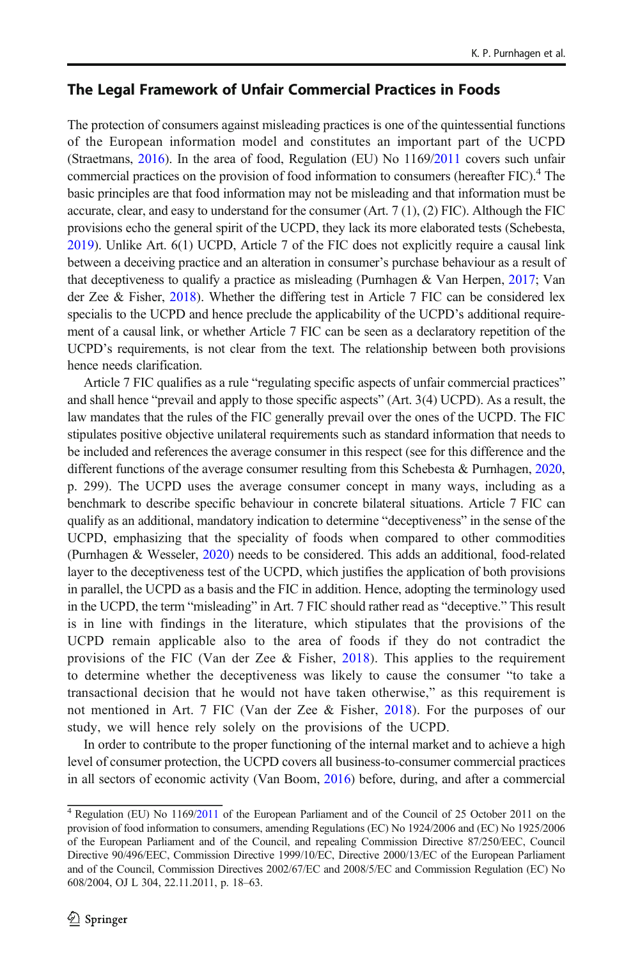### The Legal Framework of Unfair Commercial Practices in Foods

The protection of consumers against misleading practices is one of the quintessential functions of the European information model and constitutes an important part of the UCPD (Straetmans, [2016](#page-20-0)). In the area of food, Regulation (EU) No 1169[/2011](#page-21-0) covers such unfair commercial practices on the provision of food information to consumers (hereafter FIC).<sup>4</sup> The basic principles are that food information may not be misleading and that information must be accurate, clear, and easy to understand for the consumer (Art. 7 (1), (2) FIC). Although the FIC provisions echo the general spirit of the UCPD, they lack its more elaborated tests (Schebesta, [2019](#page-20-0)). Unlike Art. 6(1) UCPD, Article 7 of the FIC does not explicitly require a causal link between a deceiving practice and an alteration in consumer's purchase behaviour as a result of that deceptiveness to qualify a practice as misleading (Purnhagen & Van Herpen, [2017;](#page-20-0) Van der Zee  $\&$  Fisher, [2018](#page-20-0)). Whether the differing test in Article 7 FIC can be considered lex specialis to the UCPD and hence preclude the applicability of the UCPD's additional requirement of a causal link, or whether Article 7 FIC can be seen as a declaratory repetition of the UCPD's requirements, is not clear from the text. The relationship between both provisions hence needs clarification.

Article 7 FIC qualifies as a rule "regulating specific aspects of unfair commercial practices" and shall hence "prevail and apply to those specific aspects" (Art. 3(4) UCPD). As a result, the law mandates that the rules of the FIC generally prevail over the ones of the UCPD. The FIC stipulates positive objective unilateral requirements such as standard information that needs to be included and references the average consumer in this respect (see for this difference and the different functions of the average consumer resulting from this Schebesta & Purnhagen, [2020](#page-20-0), p. 299). The UCPD uses the average consumer concept in many ways, including as a benchmark to describe specific behaviour in concrete bilateral situations. Article 7 FIC can qualify as an additional, mandatory indication to determine "deceptiveness" in the sense of the UCPD, emphasizing that the speciality of foods when compared to other commodities (Purnhagen & Wesseler, [2020](#page-20-0)) needs to be considered. This adds an additional, food-related layer to the deceptiveness test of the UCPD, which justifies the application of both provisions in parallel, the UCPD as a basis and the FIC in addition. Hence, adopting the terminology used in the UCPD, the term "misleading" in Art. 7 FIC should rather read as "deceptive." This result is in line with findings in the literature, which stipulates that the provisions of the UCPD remain applicable also to the area of foods if they do not contradict the provisions of the FIC (Van der Zee  $\&$  Fisher, [2018\)](#page-20-0). This applies to the requirement to determine whether the deceptiveness was likely to cause the consumer "to take a transactional decision that he would not have taken otherwise," as this requirement is not mentioned in Art. 7 FIC (Van der Zee & Fisher, [2018](#page-20-0)). For the purposes of our study, we will hence rely solely on the provisions of the UCPD.

In order to contribute to the proper functioning of the internal market and to achieve a high level of consumer protection, the UCPD covers all business-to-consumer commercial practices in all sectors of economic activity (Van Boom, [2016\)](#page-20-0) before, during, and after a commercial

<sup>4</sup> Regulation (EU) No 1169/[2011](#page-21-0) of the European Parliament and of the Council of 25 October 2011 on the provision of food information to consumers, amending Regulations (EC) No 1924/2006 and (EC) No 1925/2006 of the European Parliament and of the Council, and repealing Commission Directive 87/250/EEC, Council Directive 90/496/EEC, Commission Directive 1999/10/EC, Directive 2000/13/EC of the European Parliament and of the Council, Commission Directives 2002/67/EC and 2008/5/EC and Commission Regulation (EC) No 608/2004, OJ L 304, 22.11.2011, p. 18–63.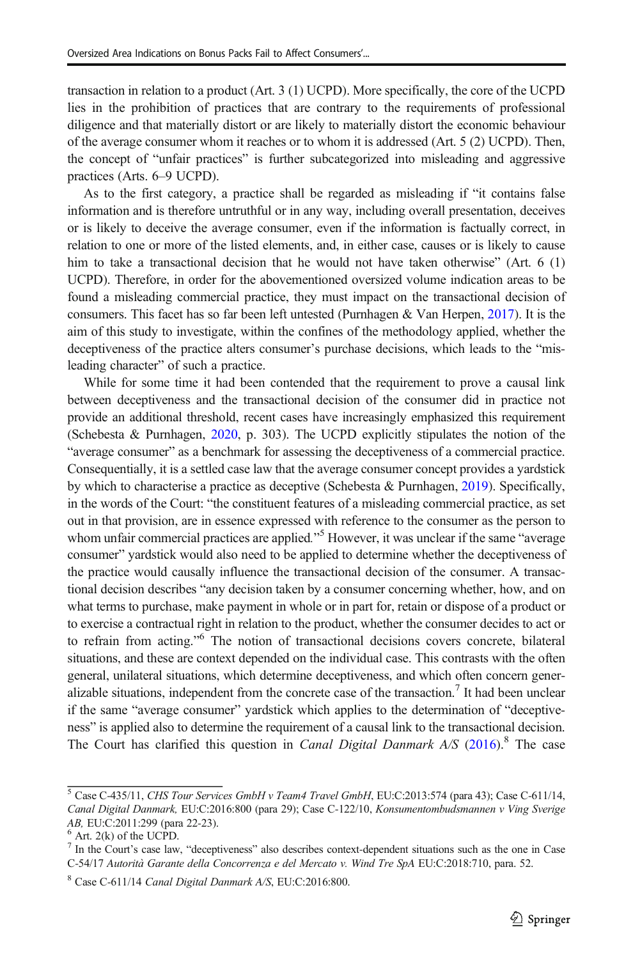transaction in relation to a product (Art. 3 (1) UCPD). More specifically, the core of the UCPD lies in the prohibition of practices that are contrary to the requirements of professional diligence and that materially distort or are likely to materially distort the economic behaviour of the average consumer whom it reaches or to whom it is addressed (Art. 5 (2) UCPD). Then, the concept of "unfair practices" is further subcategorized into misleading and aggressive practices (Arts. 6–9 UCPD).

As to the first category, a practice shall be regarded as misleading if "it contains false information and is therefore untruthful or in any way, including overall presentation, deceives or is likely to deceive the average consumer, even if the information is factually correct, in relation to one or more of the listed elements, and, in either case, causes or is likely to cause him to take a transactional decision that he would not have taken otherwise" (Art. 6 (1) UCPD). Therefore, in order for the abovementioned oversized volume indication areas to be found a misleading commercial practice, they must impact on the transactional decision of consumers. This facet has so far been left untested (Purnhagen & Van Herpen, [2017](#page-20-0)). It is the aim of this study to investigate, within the confines of the methodology applied, whether the deceptiveness of the practice alters consumer's purchase decisions, which leads to the "misleading character" of such a practice.

While for some time it had been contended that the requirement to prove a causal link between deceptiveness and the transactional decision of the consumer did in practice not provide an additional threshold, recent cases have increasingly emphasized this requirement (Schebesta & Purnhagen, [2020](#page-20-0), p. 303). The UCPD explicitly stipulates the notion of the "average consumer" as a benchmark for assessing the deceptiveness of a commercial practice. Consequentially, it is a settled case law that the average consumer concept provides a yardstick by which to characterise a practice as deceptive (Schebesta & Purnhagen, [2019](#page-20-0)). Specifically, in the words of the Court: "the constituent features of a misleading commercial practice, as set out in that provision, are in essence expressed with reference to the consumer as the person to whom unfair commercial practices are applied."<sup>5</sup> However, it was unclear if the same "average consumer" yardstick would also need to be applied to determine whether the deceptiveness of the practice would causally influence the transactional decision of the consumer. A transactional decision describes "any decision taken by a consumer concerning whether, how, and on what terms to purchase, make payment in whole or in part for, retain or dispose of a product or to exercise a contractual right in relation to the product, whether the consumer decides to act or to refrain from acting." <sup>6</sup> The notion of transactional decisions covers concrete, bilateral situations, and these are context depended on the individual case. This contrasts with the often general, unilateral situations, which determine deceptiveness, and which often concern generalizable situations, independent from the concrete case of the transaction.<sup>7</sup> It had been unclear if the same "average consumer" yardstick which applies to the determination of "deceptiveness" is applied also to determine the requirement of a causal link to the transactional decision. The Court has clarified this question in *Canal Digital Danmark A/S*  $(2016)$  $(2016)$ .<sup>8</sup> The case

<sup>&</sup>lt;sup>5</sup> Case C-435/11, CHS Tour Services GmbH v Team4 Travel GmbH, EU:C:2013:574 (para 43); Case C-611/14, Canal Digital Danmark, EU:C:2016:800 (para 29); Case C-122/10, Konsumentombudsmannen v Ving Sverige AB, EU:C:2011:299 (para 22-23).

 $\frac{6}{7}$  Art. 2(k) of the UCPD.

In the Court's case law, "deceptiveness" also describes context-dependent situations such as the one in Case C-54/17 Autorità Garante della Concorrenza e del Mercato v. Wind Tre SpA EU:C:2018:710, para. 52.

<sup>8</sup> Case C-611/14 Canal Digital Danmark A/S, EU:C:2016:800.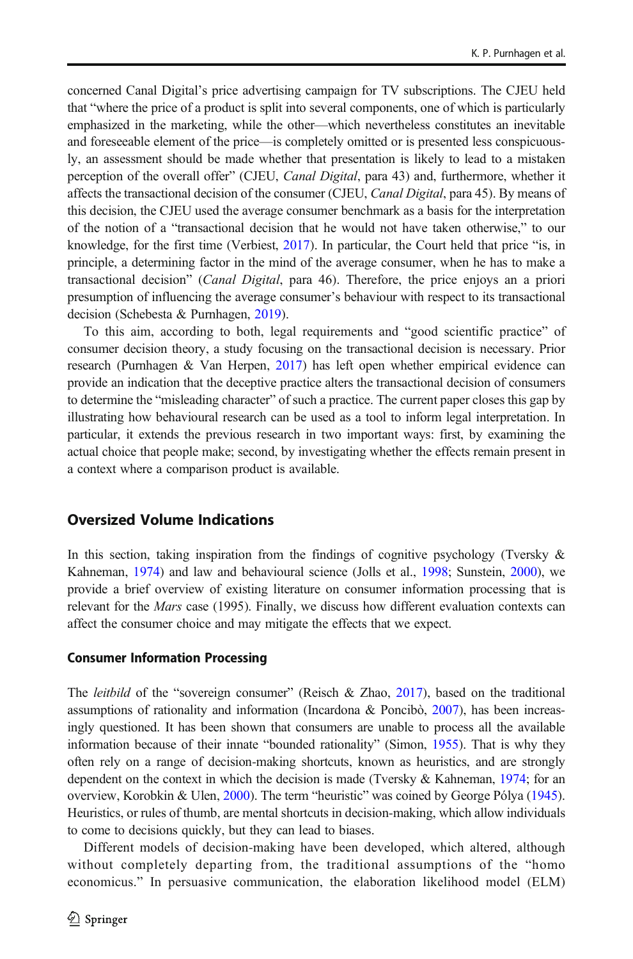concerned Canal Digital's price advertising campaign for TV subscriptions. The CJEU held that "where the price of a product is split into several components, one of which is particularly emphasized in the marketing, while the other—which nevertheless constitutes an inevitable and foreseeable element of the price—is completely omitted or is presented less conspicuously, an assessment should be made whether that presentation is likely to lead to a mistaken perception of the overall offer" (CJEU, Canal Digital, para 43) and, furthermore, whether it affects the transactional decision of the consumer (CJEU, *Canal Digital*, para 45). By means of this decision, the CJEU used the average consumer benchmark as a basis for the interpretation of the notion of a "transactional decision that he would not have taken otherwise," to our knowledge, for the first time (Verbiest, [2017](#page-20-0)). In particular, the Court held that price "is, in principle, a determining factor in the mind of the average consumer, when he has to make a transactional decision" (Canal Digital, para 46). Therefore, the price enjoys an a priori presumption of influencing the average consumer's behaviour with respect to its transactional decision (Schebesta & Purnhagen, [2019](#page-20-0)).

To this aim, according to both, legal requirements and "good scientific practice" of consumer decision theory, a study focusing on the transactional decision is necessary. Prior research (Purnhagen & Van Herpen, [2017\)](#page-20-0) has left open whether empirical evidence can provide an indication that the deceptive practice alters the transactional decision of consumers to determine the "misleading character" of such a practice. The current paper closes this gap by illustrating how behavioural research can be used as a tool to inform legal interpretation. In particular, it extends the previous research in two important ways: first, by examining the actual choice that people make; second, by investigating whether the effects remain present in a context where a comparison product is available.

### Oversized Volume Indications

In this section, taking inspiration from the findings of cognitive psychology (Tversky  $\&$ Kahneman, [1974](#page-20-0)) and law and behavioural science (Jolls et al., [1998](#page-19-0); Sunstein, [2000\)](#page-20-0), we provide a brief overview of existing literature on consumer information processing that is relevant for the *Mars* case (1995). Finally, we discuss how different evaluation contexts can affect the consumer choice and may mitigate the effects that we expect.

#### Consumer Information Processing

The *leitbild* of the "sovereign consumer" (Reisch & Zhao, [2017\)](#page-20-0), based on the traditional assumptions of rationality and information (Incardona & Poncibò,  $2007$ ), has been increasingly questioned. It has been shown that consumers are unable to process all the available information because of their innate "bounded rationality" (Simon, [1955\)](#page-20-0). That is why they often rely on a range of decision-making shortcuts, known as heuristics, and are strongly dependent on the context in which the decision is made (Tversky & Kahneman, [1974](#page-20-0); for an overview, Korobkin & Ulen, [2000\)](#page-19-0). The term "heuristic" was coined by George Pólya ([1945](#page-19-0)). Heuristics, or rules of thumb, are mental shortcuts in decision-making, which allow individuals to come to decisions quickly, but they can lead to biases.

Different models of decision-making have been developed, which altered, although without completely departing from, the traditional assumptions of the "homo economicus." In persuasive communication, the elaboration likelihood model (ELM)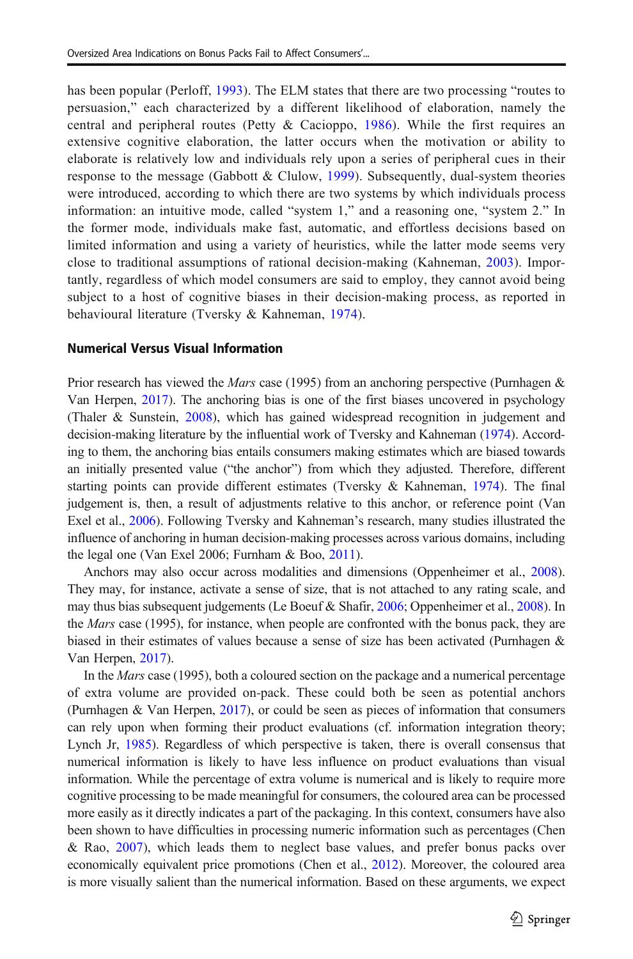has been popular (Perloff, [1993\)](#page-19-0). The ELM states that there are two processing "routes to persuasion," each characterized by a different likelihood of elaboration, namely the central and peripheral routes (Petty & Cacioppo, [1986](#page-19-0)). While the first requires an extensive cognitive elaboration, the latter occurs when the motivation or ability to elaborate is relatively low and individuals rely upon a series of peripheral cues in their response to the message (Gabbott & Clulow, [1999](#page-19-0)). Subsequently, dual-system theories were introduced, according to which there are two systems by which individuals process information: an intuitive mode, called "system 1," and a reasoning one, "system 2." In the former mode, individuals make fast, automatic, and effortless decisions based on limited information and using a variety of heuristics, while the latter mode seems very close to traditional assumptions of rational decision-making (Kahneman, [2003\)](#page-19-0). Importantly, regardless of which model consumers are said to employ, they cannot avoid being subject to a host of cognitive biases in their decision-making process, as reported in behavioural literature (Tversky & Kahneman, [1974](#page-20-0)).

#### Numerical Versus Visual Information

Prior research has viewed the Mars case (1995) from an anchoring perspective (Purnhagen & Van Herpen, [2017\)](#page-20-0). The anchoring bias is one of the first biases uncovered in psychology (Thaler & Sunstein, [2008\)](#page-20-0), which has gained widespread recognition in judgement and decision-making literature by the influential work of Tversky and Kahneman [\(1974\)](#page-20-0). According to them, the anchoring bias entails consumers making estimates which are biased towards an initially presented value ("the anchor") from which they adjusted. Therefore, different starting points can provide different estimates (Tversky & Kahneman, [1974](#page-20-0)). The final judgement is, then, a result of adjustments relative to this anchor, or reference point (Van Exel et al., [2006](#page-20-0)). Following Tversky and Kahneman's research, many studies illustrated the influence of anchoring in human decision-making processes across various domains, including the legal one (Van Exel 2006; Furnham & Boo, [2011](#page-19-0)).

Anchors may also occur across modalities and dimensions (Oppenheimer et al., [2008](#page-19-0)). They may, for instance, activate a sense of size, that is not attached to any rating scale, and may thus bias subsequent judgements (Le Boeuf & Shafir, [2006](#page-19-0); Oppenheimer et al., [2008\)](#page-19-0). In the *Mars* case (1995), for instance, when people are confronted with the bonus pack, they are biased in their estimates of values because a sense of size has been activated (Purnhagen & Van Herpen, [2017\)](#page-20-0).

In the *Mars* case (1995), both a coloured section on the package and a numerical percentage of extra volume are provided on-pack. These could both be seen as potential anchors (Purnhagen & Van Herpen, [2017](#page-20-0)), or could be seen as pieces of information that consumers can rely upon when forming their product evaluations (cf. information integration theory; Lynch Jr, [1985](#page-19-0)). Regardless of which perspective is taken, there is overall consensus that numerical information is likely to have less influence on product evaluations than visual information. While the percentage of extra volume is numerical and is likely to require more cognitive processing to be made meaningful for consumers, the coloured area can be processed more easily as it directly indicates a part of the packaging. In this context, consumers have also been shown to have difficulties in processing numeric information such as percentages (Chen & Rao, [2007](#page-19-0)), which leads them to neglect base values, and prefer bonus packs over economically equivalent price promotions (Chen et al., [2012\)](#page-19-0). Moreover, the coloured area is more visually salient than the numerical information. Based on these arguments, we expect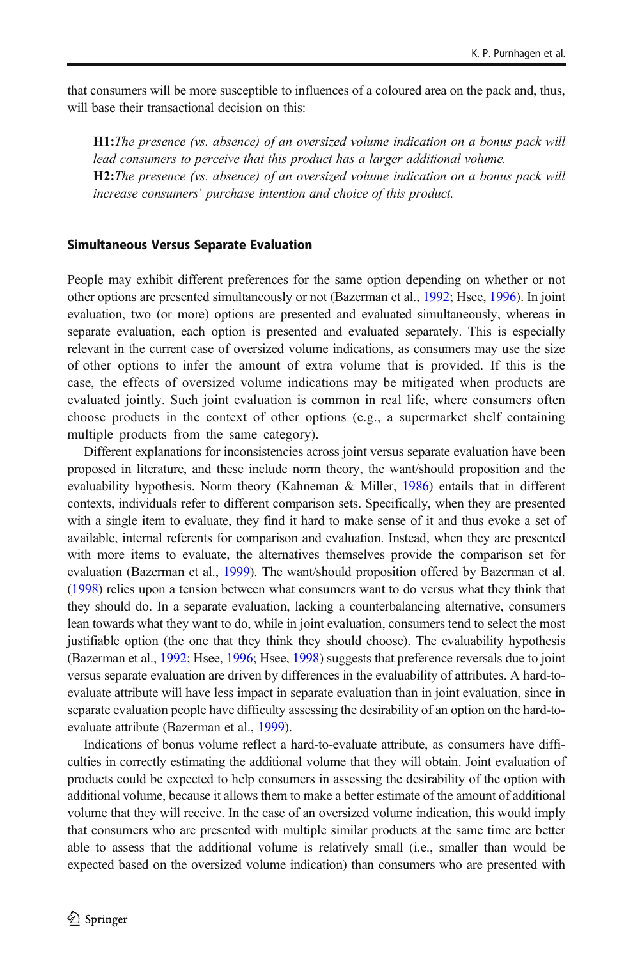that consumers will be more susceptible to influences of a coloured area on the pack and, thus, will base their transactional decision on this:

H1:The presence (vs. absence) of an oversized volume indication on a bonus pack will lead consumers to perceive that this product has a larger additional volume. H2:The presence (vs. absence) of an oversized volume indication on a bonus pack will increase consumers' purchase intention and choice of this product.

#### Simultaneous Versus Separate Evaluation

People may exhibit different preferences for the same option depending on whether or not other options are presented simultaneously or not (Bazerman et al., [1992](#page-18-0); Hsee, [1996](#page-19-0)). In joint evaluation, two (or more) options are presented and evaluated simultaneously, whereas in separate evaluation, each option is presented and evaluated separately. This is especially relevant in the current case of oversized volume indications, as consumers may use the size of other options to infer the amount of extra volume that is provided. If this is the case, the effects of oversized volume indications may be mitigated when products are evaluated jointly. Such joint evaluation is common in real life, where consumers often choose products in the context of other options (e.g., a supermarket shelf containing multiple products from the same category).

Different explanations for inconsistencies across joint versus separate evaluation have been proposed in literature, and these include norm theory, the want/should proposition and the evaluability hypothesis. Norm theory (Kahneman & Miller, [1986\)](#page-19-0) entails that in different contexts, individuals refer to different comparison sets. Specifically, when they are presented with a single item to evaluate, they find it hard to make sense of it and thus evoke a set of available, internal referents for comparison and evaluation. Instead, when they are presented with more items to evaluate, the alternatives themselves provide the comparison set for evaluation (Bazerman et al., [1999](#page-19-0)). The want/should proposition offered by Bazerman et al. ([1998](#page-18-0)) relies upon a tension between what consumers want to do versus what they think that they should do. In a separate evaluation, lacking a counterbalancing alternative, consumers lean towards what they want to do, while in joint evaluation, consumers tend to select the most justifiable option (the one that they think they should choose). The evaluability hypothesis (Bazerman et al., [1992;](#page-18-0) Hsee, [1996;](#page-19-0) Hsee, [1998\)](#page-19-0) suggests that preference reversals due to joint versus separate evaluation are driven by differences in the evaluability of attributes. A hard-toevaluate attribute will have less impact in separate evaluation than in joint evaluation, since in separate evaluation people have difficulty assessing the desirability of an option on the hard-toevaluate attribute (Bazerman et al., [1999\)](#page-19-0).

Indications of bonus volume reflect a hard-to-evaluate attribute, as consumers have difficulties in correctly estimating the additional volume that they will obtain. Joint evaluation of products could be expected to help consumers in assessing the desirability of the option with additional volume, because it allows them to make a better estimate of the amount of additional volume that they will receive. In the case of an oversized volume indication, this would imply that consumers who are presented with multiple similar products at the same time are better able to assess that the additional volume is relatively small (i.e., smaller than would be expected based on the oversized volume indication) than consumers who are presented with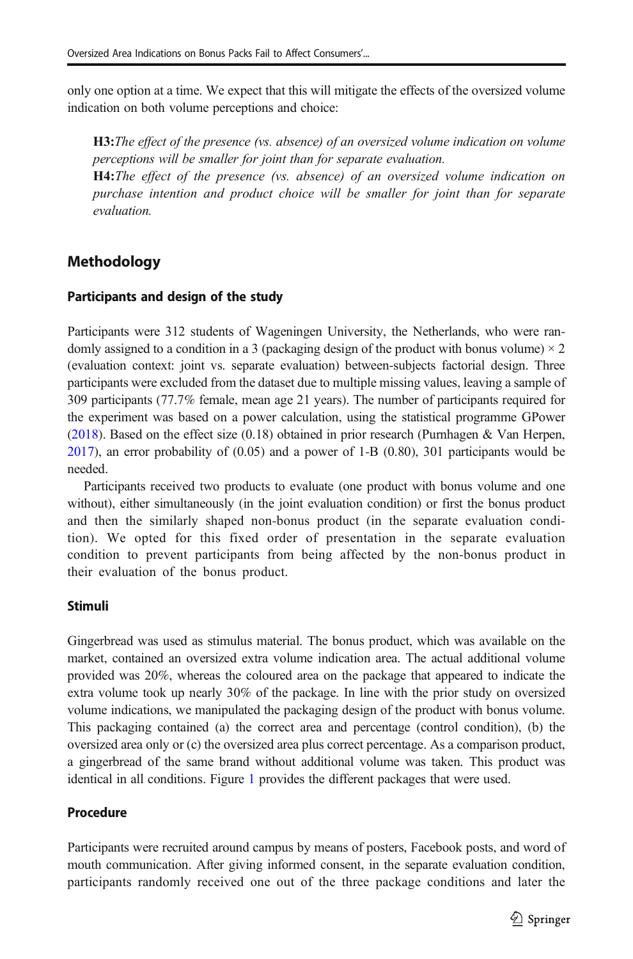only one option at a time. We expect that this will mitigate the effects of the oversized volume indication on both volume perceptions and choice:

**H3:**The effect of the presence (vs. absence) of an oversized volume indication on volume perceptions will be smaller for joint than for separate evaluation. H4:The effect of the presence (vs. absence) of an oversized volume indication on purchase intention and product choice will be smaller for joint than for separate evaluation.

## **Methodology**

### Participants and design of the study

Participants were 312 students of Wageningen University, the Netherlands, who were randomly assigned to a condition in a 3 (packaging design of the product with bonus volume)  $\times$  2 (evaluation context: joint vs. separate evaluation) between-subjects factorial design. Three participants were excluded from the dataset due to multiple missing values, leaving a sample of 309 participants (77.7% female, mean age 21 years). The number of participants required for the experiment was based on a power calculation, using the statistical programme GPower  $(2018)$  $(2018)$  $(2018)$ . Based on the effect size  $(0.18)$  obtained in prior research (Purnhagen & Van Herpen, [2017](#page-20-0)), an error probability of (0.05) and a power of 1-B (0.80), 301 participants would be needed.

Participants received two products to evaluate (one product with bonus volume and one without), either simultaneously (in the joint evaluation condition) or first the bonus product and then the similarly shaped non-bonus product (in the separate evaluation condition). We opted for this fixed order of presentation in the separate evaluation condition to prevent participants from being affected by the non-bonus product in their evaluation of the bonus product.

### Stimuli

Gingerbread was used as stimulus material. The bonus product, which was available on the market, contained an oversized extra volume indication area. The actual additional volume provided was 20%, whereas the coloured area on the package that appeared to indicate the extra volume took up nearly 30% of the package. In line with the prior study on oversized volume indications, we manipulated the packaging design of the product with bonus volume. This packaging contained (a) the correct area and percentage (control condition), (b) the oversized area only or (c) the oversized area plus correct percentage. As a comparison product, a gingerbread of the same brand without additional volume was taken. This product was identical in all conditions. Figure [1](#page-9-0) provides the different packages that were used.

### Procedure

Participants were recruited around campus by means of posters, Facebook posts, and word of mouth communication. After giving informed consent, in the separate evaluation condition, participants randomly received one out of the three package conditions and later the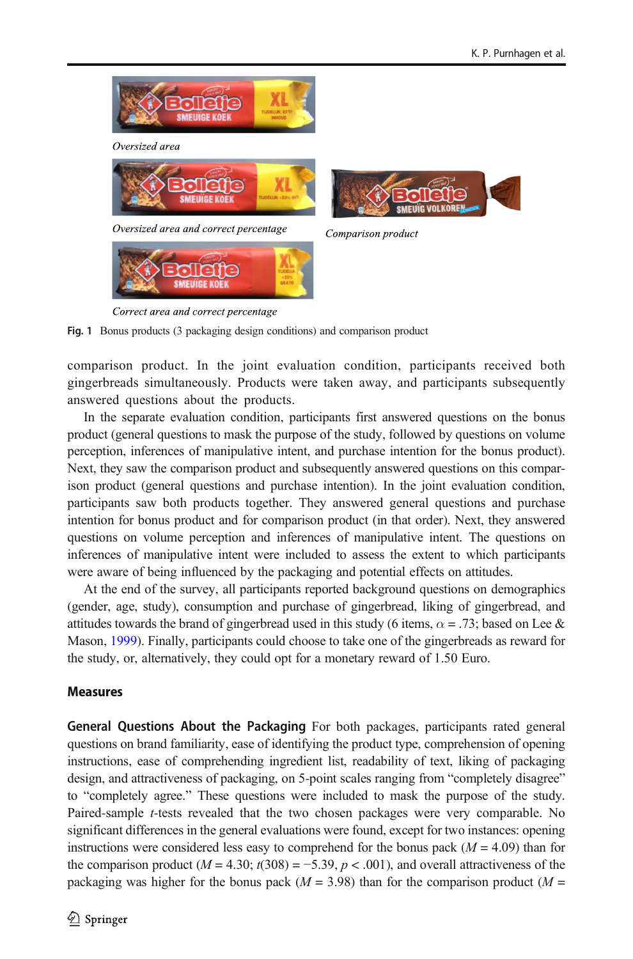<span id="page-9-0"></span>

Fig. 1 Bonus products (3 packaging design conditions) and comparison product

comparison product. In the joint evaluation condition, participants received both gingerbreads simultaneously. Products were taken away, and participants subsequently answered questions about the products.

In the separate evaluation condition, participants first answered questions on the bonus product (general questions to mask the purpose of the study, followed by questions on volume perception, inferences of manipulative intent, and purchase intention for the bonus product). Next, they saw the comparison product and subsequently answered questions on this comparison product (general questions and purchase intention). In the joint evaluation condition, participants saw both products together. They answered general questions and purchase intention for bonus product and for comparison product (in that order). Next, they answered questions on volume perception and inferences of manipulative intent. The questions on inferences of manipulative intent were included to assess the extent to which participants were aware of being influenced by the packaging and potential effects on attitudes.

At the end of the survey, all participants reported background questions on demographics (gender, age, study), consumption and purchase of gingerbread, liking of gingerbread, and attitudes towards the brand of gingerbread used in this study (6 items,  $\alpha = .73$ ; based on Lee & Mason, [1999](#page-19-0)). Finally, participants could choose to take one of the gingerbreads as reward for the study, or, alternatively, they could opt for a monetary reward of 1.50 Euro.

### Measures

General Questions About the Packaging For both packages, participants rated general questions on brand familiarity, ease of identifying the product type, comprehension of opening instructions, ease of comprehending ingredient list, readability of text, liking of packaging design, and attractiveness of packaging, on 5-point scales ranging from "completely disagree" to "completely agree." These questions were included to mask the purpose of the study. Paired-sample t-tests revealed that the two chosen packages were very comparable. No significant differences in the general evaluations were found, except for two instances: opening instructions were considered less easy to comprehend for the bonus pack  $(M = 4.09)$  than for the comparison product ( $M = 4.30$ ;  $t(308) = -5.39$ ,  $p < .001$ ), and overall attractiveness of the packaging was higher for the bonus pack ( $M = 3.98$ ) than for the comparison product ( $M =$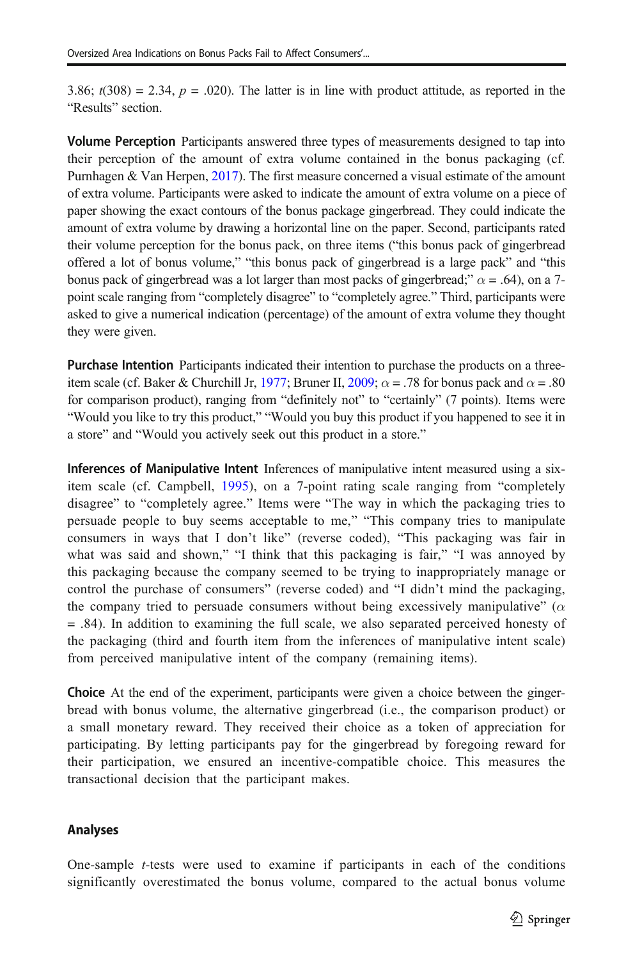3.86;  $t(308) = 2.34$ ,  $p = .020$ ). The latter is in line with product attitude, as reported in the "Results" section.

**Volume Perception** Participants answered three types of measurements designed to tap into their perception of the amount of extra volume contained in the bonus packaging (cf. Purnhagen & Van Herpen, [2017](#page-20-0)). The first measure concerned a visual estimate of the amount of extra volume. Participants were asked to indicate the amount of extra volume on a piece of paper showing the exact contours of the bonus package gingerbread. They could indicate the amount of extra volume by drawing a horizontal line on the paper. Second, participants rated their volume perception for the bonus pack, on three items ("this bonus pack of gingerbread offered a lot of bonus volume," "this bonus pack of gingerbread is a large pack" and "this bonus pack of gingerbread was a lot larger than most packs of gingerbread;"  $\alpha$  = .64), on a 7point scale ranging from "completely disagree" to "completely agree." Third, participants were asked to give a numerical indication (percentage) of the amount of extra volume they thought they were given.

Purchase Intention Participants indicated their intention to purchase the products on a three-item scale (cf. Baker & Churchill Jr, [1977](#page-18-0); Bruner II, [2009](#page-19-0);  $\alpha = .78$  for bonus pack and  $\alpha = .80$ for comparison product), ranging from "definitely not" to "certainly" (7 points). Items were "Would you like to try this product," "Would you buy this product if you happened to see it in a store" and "Would you actively seek out this product in a store."

Inferences of Manipulative Intent Inferences of manipulative intent measured using a sixitem scale (cf. Campbell, [1995\)](#page-19-0), on a 7-point rating scale ranging from "completely disagree" to "completely agree." Items were "The way in which the packaging tries to persuade people to buy seems acceptable to me," "This company tries to manipulate consumers in ways that I don't like" (reverse coded), "This packaging was fair in what was said and shown," "I think that this packaging is fair," "I was annoyed by this packaging because the company seemed to be trying to inappropriately manage or control the purchase of consumers" (reverse coded) and "I didn't mind the packaging, the company tried to persuade consumers without being excessively manipulative" ( $\alpha$ ) = .84). In addition to examining the full scale, we also separated perceived honesty of the packaging (third and fourth item from the inferences of manipulative intent scale) from perceived manipulative intent of the company (remaining items).

Choice At the end of the experiment, participants were given a choice between the gingerbread with bonus volume, the alternative gingerbread (i.e., the comparison product) or a small monetary reward. They received their choice as a token of appreciation for participating. By letting participants pay for the gingerbread by foregoing reward for their participation, we ensured an incentive-compatible choice. This measures the transactional decision that the participant makes.

### Analyses

One-sample  $t$ -tests were used to examine if participants in each of the conditions significantly overestimated the bonus volume, compared to the actual bonus volume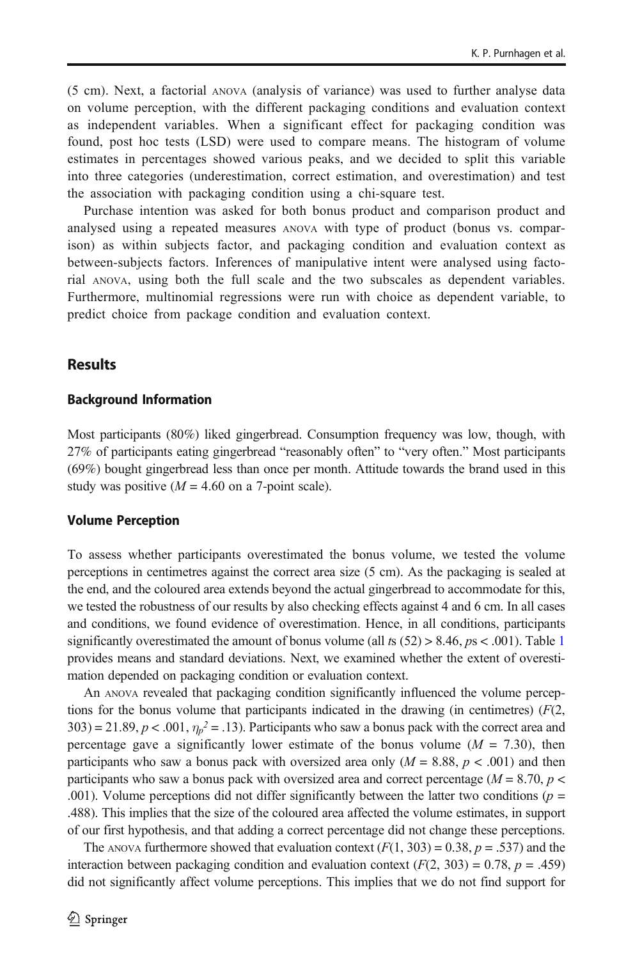(5 cm). Next, a factorial ANOVA (analysis of variance) was used to further analyse data on volume perception, with the different packaging conditions and evaluation context as independent variables. When a significant effect for packaging condition was found, post hoc tests (LSD) were used to compare means. The histogram of volume estimates in percentages showed various peaks, and we decided to split this variable into three categories (underestimation, correct estimation, and overestimation) and test the association with packaging condition using a chi-square test.

Purchase intention was asked for both bonus product and comparison product and analysed using a repeated measures ANOVA with type of product (bonus vs. comparison) as within subjects factor, and packaging condition and evaluation context as between-subjects factors. Inferences of manipulative intent were analysed using factorial ANOVA, using both the full scale and the two subscales as dependent variables. Furthermore, multinomial regressions were run with choice as dependent variable, to predict choice from package condition and evaluation context.

### **Results**

#### Background Information

Most participants (80%) liked gingerbread. Consumption frequency was low, though, with 27% of participants eating gingerbread "reasonably often" to "very often." Most participants (69%) bought gingerbread less than once per month. Attitude towards the brand used in this study was positive  $(M = 4.60$  on a 7-point scale).

#### Volume Perception

To assess whether participants overestimated the bonus volume, we tested the volume perceptions in centimetres against the correct area size (5 cm). As the packaging is sealed at the end, and the coloured area extends beyond the actual gingerbread to accommodate for this, we tested the robustness of our results by also checking effects against 4 and 6 cm. In all cases and conditions, we found evidence of overestimation. Hence, in all conditions, participants significantly overestimated the amount of bonus volume (all ts  $(52) > 8.46$ ,  $ps < .001$  $ps < .001$ ). Table 1 provides means and standard deviations. Next, we examined whether the extent of overestimation depended on packaging condition or evaluation context.

An ANOVA revealed that packaging condition significantly influenced the volume perceptions for the bonus volume that participants indicated in the drawing (in centimetres)  $(F(2,$ 303) = 21.89,  $p < .001$ ,  $\eta_p^2 = .13$ ). Participants who saw a bonus pack with the correct area and percentage gave a significantly lower estimate of the bonus volume ( $M = 7.30$ ), then participants who saw a bonus pack with oversized area only  $(M = 8.88, p < .001)$  and then participants who saw a bonus pack with oversized area and correct percentage ( $M = 8.70$ ,  $p <$ .001). Volume perceptions did not differ significantly between the latter two conditions ( $p =$ .488). This implies that the size of the coloured area affected the volume estimates, in support of our first hypothesis, and that adding a correct percentage did not change these perceptions.

The ANOVA furthermore showed that evaluation context  $(F(1, 303) = 0.38, p = .537)$  and the interaction between packaging condition and evaluation context ( $F(2, 303) = 0.78$ ,  $p = .459$ ) did not significantly affect volume perceptions. This implies that we do not find support for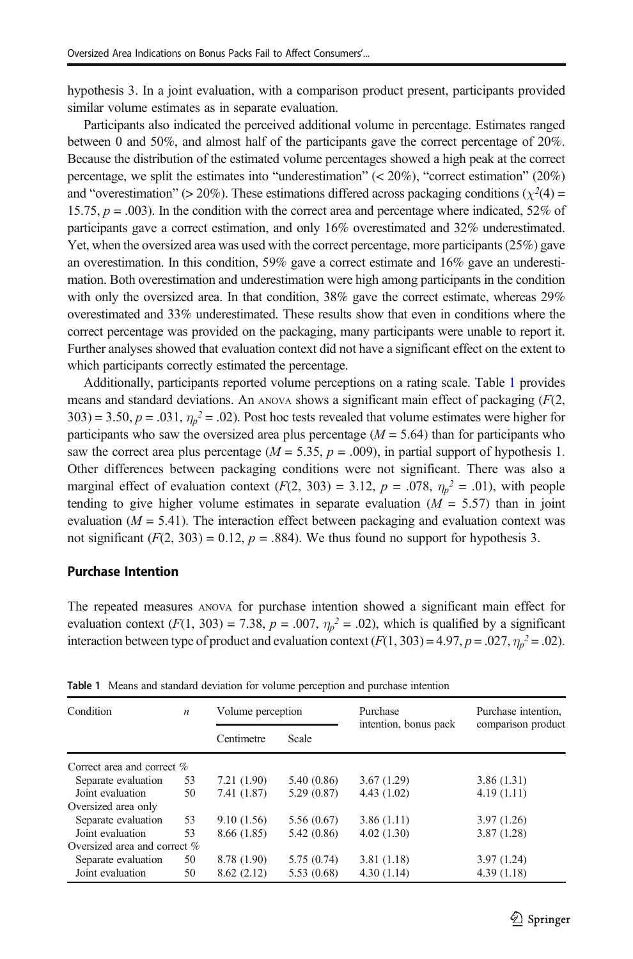<span id="page-12-0"></span>hypothesis 3. In a joint evaluation, with a comparison product present, participants provided similar volume estimates as in separate evaluation.

Participants also indicated the perceived additional volume in percentage. Estimates ranged between 0 and 50%, and almost half of the participants gave the correct percentage of 20%. Because the distribution of the estimated volume percentages showed a high peak at the correct percentage, we split the estimates into "underestimation"  $( $20\%$ ), "correct estimation"  $(20\%)$$ and "overestimation" (> 20%). These estimations differed across packaging conditions ( $\chi^2(4)$  = 15.75,  $p = .003$ ). In the condition with the correct area and percentage where indicated, 52% of participants gave a correct estimation, and only 16% overestimated and 32% underestimated. Yet, when the oversized area was used with the correct percentage, more participants (25%) gave an overestimation. In this condition, 59% gave a correct estimate and 16% gave an underestimation. Both overestimation and underestimation were high among participants in the condition with only the oversized area. In that condition, 38% gave the correct estimate, whereas 29% overestimated and 33% underestimated. These results show that even in conditions where the correct percentage was provided on the packaging, many participants were unable to report it. Further analyses showed that evaluation context did not have a significant effect on the extent to which participants correctly estimated the percentage.

Additionally, participants reported volume perceptions on a rating scale. Table 1 provides means and standard deviations. An ANOVA shows a significant main effect of packaging (F(2,  $303$ ) = 3.50,  $p = .031$ ,  $\eta_p^2 = .02$ ). Post hoc tests revealed that volume estimates were higher for participants who saw the oversized area plus percentage  $(M = 5.64)$  than for participants who saw the correct area plus percentage ( $M = 5.35$ ,  $p = .009$ ), in partial support of hypothesis 1. Other differences between packaging conditions were not significant. There was also a marginal effect of evaluation context  $(F(2, 303) = 3.12, p = .078, \eta_p^2 = .01)$ , with people tending to give higher volume estimates in separate evaluation  $(M = 5.57)$  than in joint evaluation ( $M = 5.41$ ). The interaction effect between packaging and evaluation context was not significant  $(F(2, 303) = 0.12, p = .884)$ . We thus found no support for hypothesis 3.

#### Purchase Intention

The repeated measures ANOVA for purchase intention showed a significant main effect for evaluation context  $(F(1, 303) = 7.38, p = .007, \eta_p^2 = .02)$ , which is qualified by a significant interaction between type of product and evaluation context  $(F(1, 303) = 4.97, p = .027, \eta_p^2 = .02)$ .

| Condition                       | $\boldsymbol{n}$ | Volume perception |             | Purchase              | Purchase intention. |
|---------------------------------|------------------|-------------------|-------------|-----------------------|---------------------|
|                                 |                  | Centimetre        | Scale       | intention, bonus pack | comparison product  |
| Correct area and correct %      |                  |                   |             |                       |                     |
| Separate evaluation             | 53               | 7.21(1.90)        | 5.40 (0.86) | 3.67(1.29)            | 3.86(1.31)          |
| Joint evaluation                | 50               | 7.41 (1.87)       | 5.29(0.87)  | 4.43(1.02)            | 4.19(1.11)          |
| Oversized area only             |                  |                   |             |                       |                     |
| Separate evaluation             | 53               | 9.10(1.56)        | 5.56(0.67)  | 3.86(1.11)            | 3.97(1.26)          |
| Joint evaluation                | 53               | 8.66 (1.85)       | 5.42(0.86)  | 4.02(1.30)            | 3.87(1.28)          |
| Oversized area and correct $\%$ |                  |                   |             |                       |                     |
| Separate evaluation             | 50               | 8.78 (1.90)       | 5.75(0.74)  | 3.81(1.18)            | 3.97(1.24)          |
| Joint evaluation                | 50               | 8.62(2.12)        | 5.53(0.68)  | 4.30(1.14)            | 4.39(1.18)          |

Table 1 Means and standard deviation for volume perception and purchase intention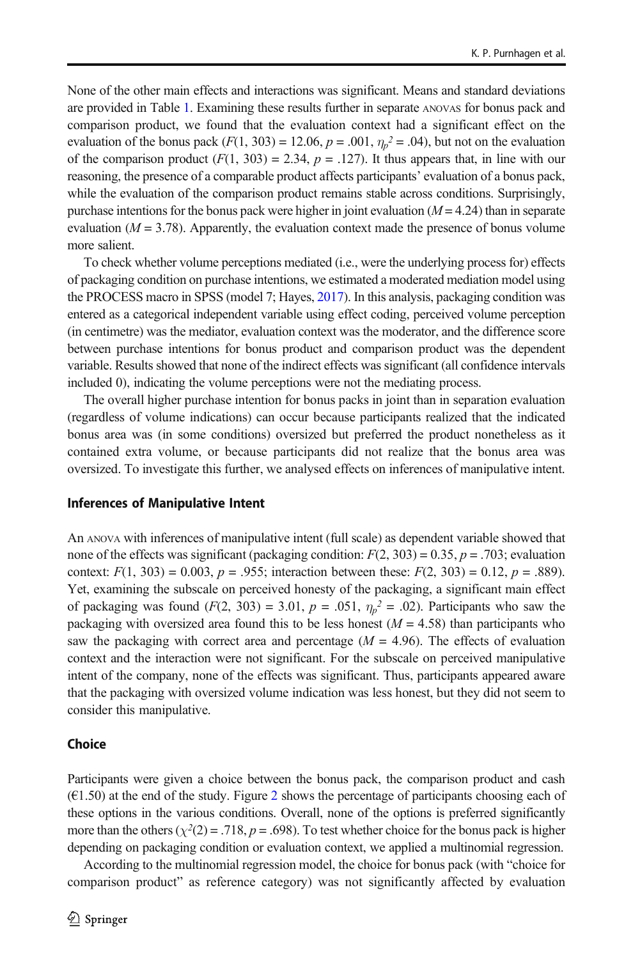None of the other main effects and interactions was significant. Means and standard deviations are provided in Table [1.](#page-12-0) Examining these results further in separate ANOVAS for bonus pack and comparison product, we found that the evaluation context had a significant effect on the evaluation of the bonus pack  $(F(1, 303) = 12.06, p = .001, \eta_p^2 = .04)$ , but not on the evaluation of the comparison product  $(F(1, 303) = 2.34, p = .127)$ . It thus appears that, in line with our reasoning, the presence of a comparable product affects participants' evaluation of a bonus pack, while the evaluation of the comparison product remains stable across conditions. Surprisingly, purchase intentions for the bonus pack were higher in joint evaluation  $(M = 4.24)$  than in separate evaluation  $(M = 3.78)$ . Apparently, the evaluation context made the presence of bonus volume more salient.

To check whether volume perceptions mediated (i.e., were the underlying process for) effects of packaging condition on purchase intentions, we estimated a moderated mediation model using the PROCESS macro in SPSS (model 7; Hayes, [2017\)](#page-19-0). In this analysis, packaging condition was entered as a categorical independent variable using effect coding, perceived volume perception (in centimetre) was the mediator, evaluation context was the moderator, and the difference score between purchase intentions for bonus product and comparison product was the dependent variable. Results showed that none of the indirect effects was significant (all confidence intervals included 0), indicating the volume perceptions were not the mediating process.

The overall higher purchase intention for bonus packs in joint than in separation evaluation (regardless of volume indications) can occur because participants realized that the indicated bonus area was (in some conditions) oversized but preferred the product nonetheless as it contained extra volume, or because participants did not realize that the bonus area was oversized. To investigate this further, we analysed effects on inferences of manipulative intent.

#### Inferences of Manipulative Intent

An ANOVA with inferences of manipulative intent (full scale) as dependent variable showed that none of the effects was significant (packaging condition:  $F(2, 303) = 0.35$ ,  $p = .703$ ; evaluation context:  $F(1, 303) = 0.003$ ,  $p = .955$ ; interaction between these:  $F(2, 303) = 0.12$ ,  $p = .889$ ). Yet, examining the subscale on perceived honesty of the packaging, a significant main effect of packaging was found  $(F(2, 303) = 3.01, p = .051, \eta_p^2 = .02)$ . Participants who saw the packaging with oversized area found this to be less honest ( $M = 4.58$ ) than participants who saw the packaging with correct area and percentage  $(M = 4.96)$ . The effects of evaluation context and the interaction were not significant. For the subscale on perceived manipulative intent of the company, none of the effects was significant. Thus, participants appeared aware that the packaging with oversized volume indication was less honest, but they did not seem to consider this manipulative.

#### Choice

Participants were given a choice between the bonus pack, the comparison product and cash  $(61.50)$  at the end of the study. Figure [2](#page-14-0) shows the percentage of participants choosing each of these options in the various conditions. Overall, none of the options is preferred significantly more than the others ( $\chi^2(2) = .718$ ,  $p = .698$ ). To test whether choice for the bonus pack is higher depending on packaging condition or evaluation context, we applied a multinomial regression.

According to the multinomial regression model, the choice for bonus pack (with "choice for comparison product" as reference category) was not significantly affected by evaluation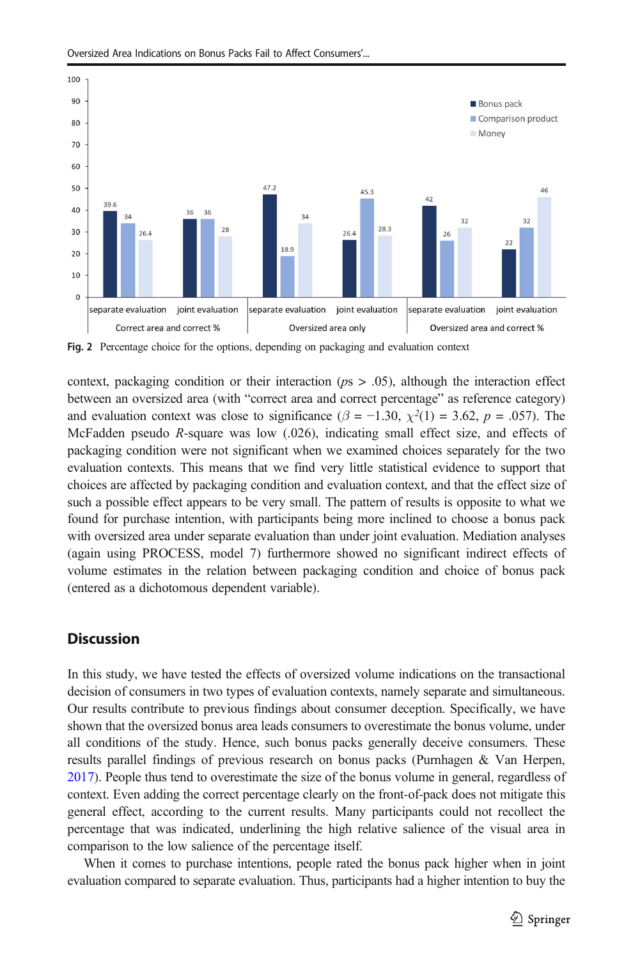

<span id="page-14-0"></span>Oversized Area Indications on Bonus Packs Fail to Affect Consumers'...

Fig. 2 Percentage choice for the options, depending on packaging and evaluation context

context, packaging condition or their interaction ( $ps > .05$ ), although the interaction effect between an oversized area (with "correct area and correct percentage" as reference category) and evaluation context was close to significance ( $\beta$  = -1.30,  $\chi^2(1)$  = 3.62,  $p$  = .057). The McFadden pseudo R-square was low (.026), indicating small effect size, and effects of packaging condition were not significant when we examined choices separately for the two evaluation contexts. This means that we find very little statistical evidence to support that choices are affected by packaging condition and evaluation context, and that the effect size of such a possible effect appears to be very small. The pattern of results is opposite to what we found for purchase intention, with participants being more inclined to choose a bonus pack with oversized area under separate evaluation than under joint evaluation. Mediation analyses (again using PROCESS, model 7) furthermore showed no significant indirect effects of volume estimates in the relation between packaging condition and choice of bonus pack (entered as a dichotomous dependent variable).

### **Discussion**

In this study, we have tested the effects of oversized volume indications on the transactional decision of consumers in two types of evaluation contexts, namely separate and simultaneous. Our results contribute to previous findings about consumer deception. Specifically, we have shown that the oversized bonus area leads consumers to overestimate the bonus volume, under all conditions of the study. Hence, such bonus packs generally deceive consumers. These results parallel findings of previous research on bonus packs (Purnhagen & Van Herpen, [2017](#page-20-0)). People thus tend to overestimate the size of the bonus volume in general, regardless of context. Even adding the correct percentage clearly on the front-of-pack does not mitigate this general effect, according to the current results. Many participants could not recollect the percentage that was indicated, underlining the high relative salience of the visual area in comparison to the low salience of the percentage itself.

When it comes to purchase intentions, people rated the bonus pack higher when in joint evaluation compared to separate evaluation. Thus, participants had a higher intention to buy the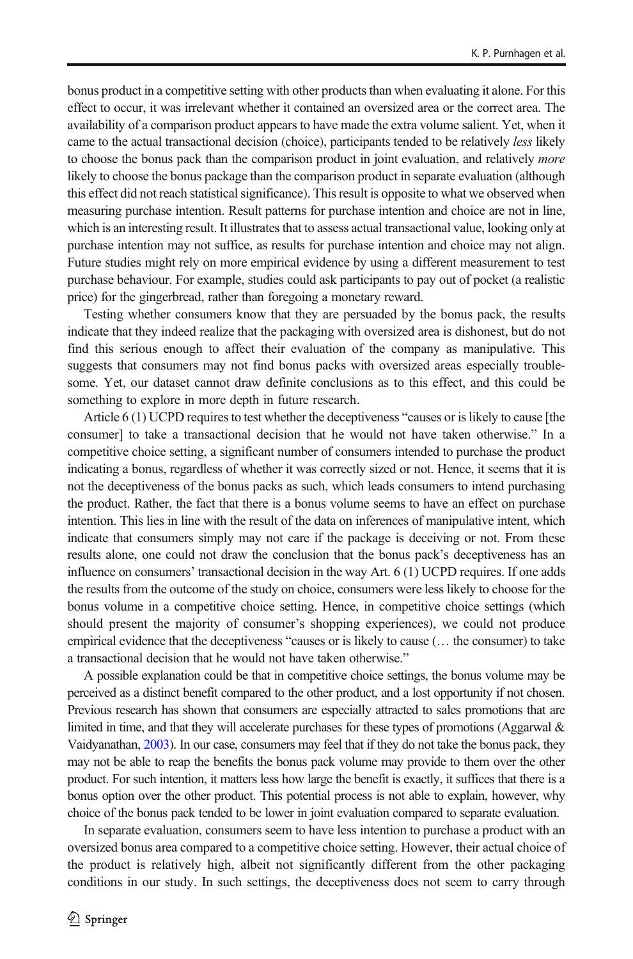bonus product in a competitive setting with other products than when evaluating it alone. For this effect to occur, it was irrelevant whether it contained an oversized area or the correct area. The availability of a comparison product appears to have made the extra volume salient. Yet, when it came to the actual transactional decision (choice), participants tended to be relatively less likely to choose the bonus pack than the comparison product in joint evaluation, and relatively more likely to choose the bonus package than the comparison product in separate evaluation (although this effect did not reach statistical significance). This result is opposite to what we observed when measuring purchase intention. Result patterns for purchase intention and choice are not in line, which is an interesting result. It illustrates that to assess actual transactional value, looking only at purchase intention may not suffice, as results for purchase intention and choice may not align. Future studies might rely on more empirical evidence by using a different measurement to test purchase behaviour. For example, studies could ask participants to pay out of pocket (a realistic price) for the gingerbread, rather than foregoing a monetary reward.

Testing whether consumers know that they are persuaded by the bonus pack, the results indicate that they indeed realize that the packaging with oversized area is dishonest, but do not find this serious enough to affect their evaluation of the company as manipulative. This suggests that consumers may not find bonus packs with oversized areas especially troublesome. Yet, our dataset cannot draw definite conclusions as to this effect, and this could be something to explore in more depth in future research.

Article 6 (1) UCPD requires to test whether the deceptiveness "causes or is likely to cause [the consumer] to take a transactional decision that he would not have taken otherwise." In a competitive choice setting, a significant number of consumers intended to purchase the product indicating a bonus, regardless of whether it was correctly sized or not. Hence, it seems that it is not the deceptiveness of the bonus packs as such, which leads consumers to intend purchasing the product. Rather, the fact that there is a bonus volume seems to have an effect on purchase intention. This lies in line with the result of the data on inferences of manipulative intent, which indicate that consumers simply may not care if the package is deceiving or not. From these results alone, one could not draw the conclusion that the bonus pack's deceptiveness has an influence on consumers' transactional decision in the way Art. 6 (1) UCPD requires. If one adds the results from the outcome of the study on choice, consumers were less likely to choose for the bonus volume in a competitive choice setting. Hence, in competitive choice settings (which should present the majority of consumer's shopping experiences), we could not produce empirical evidence that the deceptiveness "causes or is likely to cause (… the consumer) to take a transactional decision that he would not have taken otherwise."

A possible explanation could be that in competitive choice settings, the bonus volume may be perceived as a distinct benefit compared to the other product, and a lost opportunity if not chosen. Previous research has shown that consumers are especially attracted to sales promotions that are limited in time, and that they will accelerate purchases for these types of promotions (Aggarwal  $\&$ Vaidyanathan, [2003\)](#page-18-0). In our case, consumers may feel that if they do not take the bonus pack, they may not be able to reap the benefits the bonus pack volume may provide to them over the other product. For such intention, it matters less how large the benefit is exactly, it suffices that there is a bonus option over the other product. This potential process is not able to explain, however, why choice of the bonus pack tended to be lower in joint evaluation compared to separate evaluation.

In separate evaluation, consumers seem to have less intention to purchase a product with an oversized bonus area compared to a competitive choice setting. However, their actual choice of the product is relatively high, albeit not significantly different from the other packaging conditions in our study. In such settings, the deceptiveness does not seem to carry through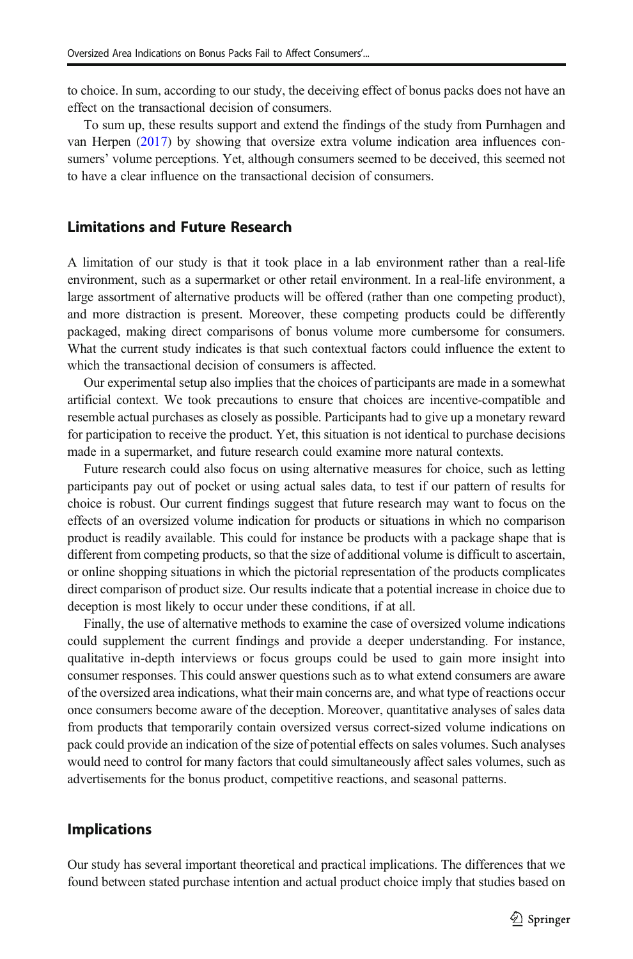to choice. In sum, according to our study, the deceiving effect of bonus packs does not have an effect on the transactional decision of consumers.

To sum up, these results support and extend the findings of the study from Purnhagen and van Herpen ([2017](#page-20-0)) by showing that oversize extra volume indication area influences consumers' volume perceptions. Yet, although consumers seemed to be deceived, this seemed not to have a clear influence on the transactional decision of consumers.

#### Limitations and Future Research

A limitation of our study is that it took place in a lab environment rather than a real-life environment, such as a supermarket or other retail environment. In a real-life environment, a large assortment of alternative products will be offered (rather than one competing product), and more distraction is present. Moreover, these competing products could be differently packaged, making direct comparisons of bonus volume more cumbersome for consumers. What the current study indicates is that such contextual factors could influence the extent to which the transactional decision of consumers is affected.

Our experimental setup also implies that the choices of participants are made in a somewhat artificial context. We took precautions to ensure that choices are incentive-compatible and resemble actual purchases as closely as possible. Participants had to give up a monetary reward for participation to receive the product. Yet, this situation is not identical to purchase decisions made in a supermarket, and future research could examine more natural contexts.

Future research could also focus on using alternative measures for choice, such as letting participants pay out of pocket or using actual sales data, to test if our pattern of results for choice is robust. Our current findings suggest that future research may want to focus on the effects of an oversized volume indication for products or situations in which no comparison product is readily available. This could for instance be products with a package shape that is different from competing products, so that the size of additional volume is difficult to ascertain, or online shopping situations in which the pictorial representation of the products complicates direct comparison of product size. Our results indicate that a potential increase in choice due to deception is most likely to occur under these conditions, if at all.

Finally, the use of alternative methods to examine the case of oversized volume indications could supplement the current findings and provide a deeper understanding. For instance, qualitative in-depth interviews or focus groups could be used to gain more insight into consumer responses. This could answer questions such as to what extend consumers are aware of the oversized area indications, what their main concerns are, and what type of reactions occur once consumers become aware of the deception. Moreover, quantitative analyses of sales data from products that temporarily contain oversized versus correct-sized volume indications on pack could provide an indication of the size of potential effects on sales volumes. Such analyses would need to control for many factors that could simultaneously affect sales volumes, such as advertisements for the bonus product, competitive reactions, and seasonal patterns.

#### Implications

Our study has several important theoretical and practical implications. The differences that we found between stated purchase intention and actual product choice imply that studies based on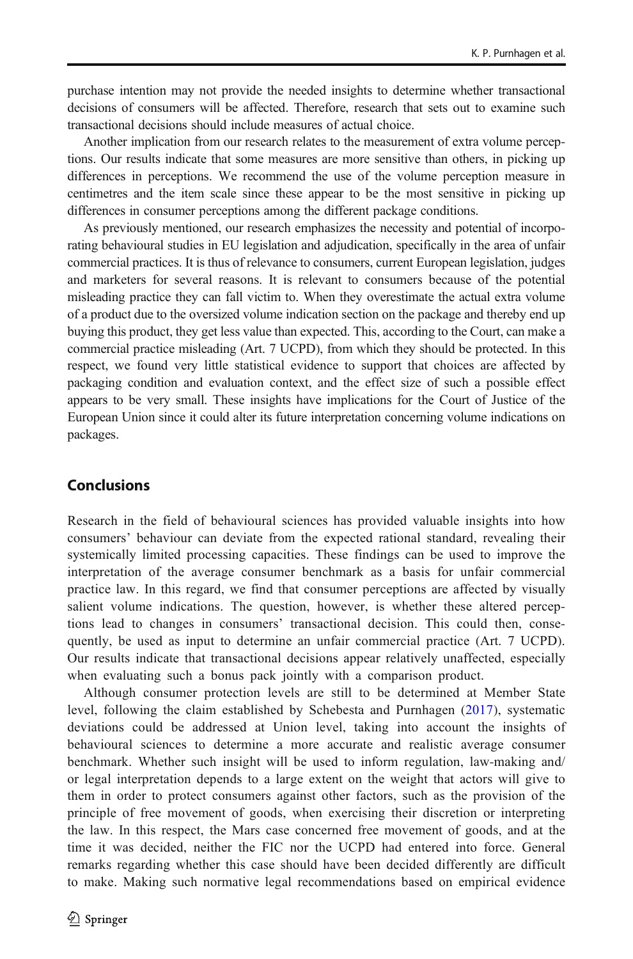purchase intention may not provide the needed insights to determine whether transactional decisions of consumers will be affected. Therefore, research that sets out to examine such transactional decisions should include measures of actual choice.

Another implication from our research relates to the measurement of extra volume perceptions. Our results indicate that some measures are more sensitive than others, in picking up differences in perceptions. We recommend the use of the volume perception measure in centimetres and the item scale since these appear to be the most sensitive in picking up differences in consumer perceptions among the different package conditions.

As previously mentioned, our research emphasizes the necessity and potential of incorporating behavioural studies in EU legislation and adjudication, specifically in the area of unfair commercial practices. It is thus of relevance to consumers, current European legislation, judges and marketers for several reasons. It is relevant to consumers because of the potential misleading practice they can fall victim to. When they overestimate the actual extra volume of a product due to the oversized volume indication section on the package and thereby end up buying this product, they get less value than expected. This, according to the Court, can make a commercial practice misleading (Art. 7 UCPD), from which they should be protected. In this respect, we found very little statistical evidence to support that choices are affected by packaging condition and evaluation context, and the effect size of such a possible effect appears to be very small. These insights have implications for the Court of Justice of the European Union since it could alter its future interpretation concerning volume indications on packages.

### **Conclusions**

Research in the field of behavioural sciences has provided valuable insights into how consumers' behaviour can deviate from the expected rational standard, revealing their systemically limited processing capacities. These findings can be used to improve the interpretation of the average consumer benchmark as a basis for unfair commercial practice law. In this regard, we find that consumer perceptions are affected by visually salient volume indications. The question, however, is whether these altered perceptions lead to changes in consumers' transactional decision. This could then, consequently, be used as input to determine an unfair commercial practice (Art. 7 UCPD). Our results indicate that transactional decisions appear relatively unaffected, especially when evaluating such a bonus pack jointly with a comparison product.

Although consumer protection levels are still to be determined at Member State level, following the claim established by Schebesta and Purnhagen [\(2017\)](#page-20-0), systematic deviations could be addressed at Union level, taking into account the insights of behavioural sciences to determine a more accurate and realistic average consumer benchmark. Whether such insight will be used to inform regulation, law-making and/ or legal interpretation depends to a large extent on the weight that actors will give to them in order to protect consumers against other factors, such as the provision of the principle of free movement of goods, when exercising their discretion or interpreting the law. In this respect, the Mars case concerned free movement of goods, and at the time it was decided, neither the FIC nor the UCPD had entered into force. General remarks regarding whether this case should have been decided differently are difficult to make. Making such normative legal recommendations based on empirical evidence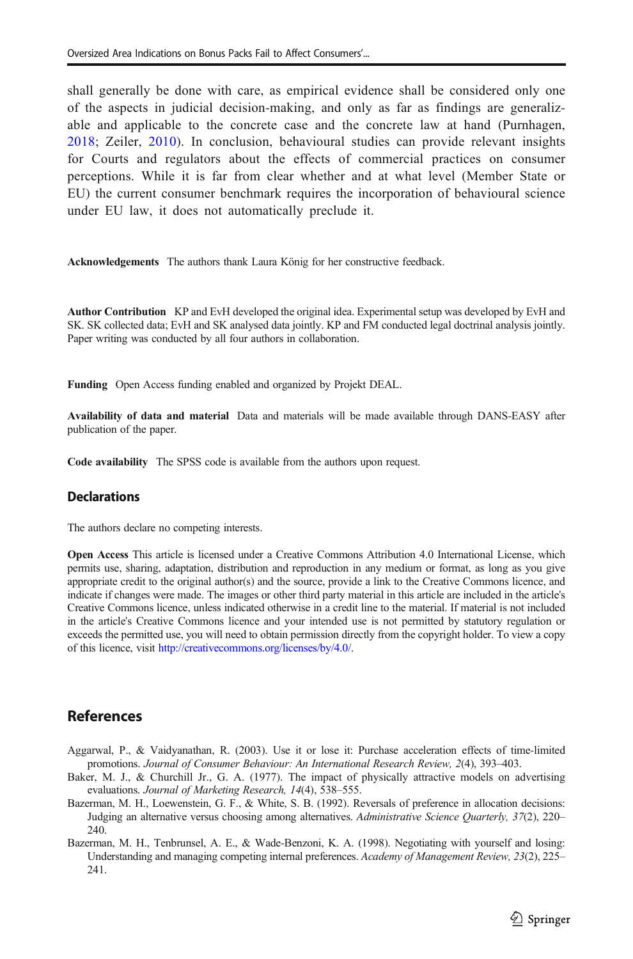<span id="page-18-0"></span>shall generally be done with care, as empirical evidence shall be considered only one of the aspects in judicial decision-making, and only as far as findings are generalizable and applicable to the concrete case and the concrete law at hand (Purnhagen, [2018](#page-20-0); Zeiler, [2010\)](#page-20-0). In conclusion, behavioural studies can provide relevant insights for Courts and regulators about the effects of commercial practices on consumer perceptions. While it is far from clear whether and at what level (Member State or EU) the current consumer benchmark requires the incorporation of behavioural science under EU law, it does not automatically preclude it.

Acknowledgements The authors thank Laura König for her constructive feedback.

Author Contribution KP and EvH developed the original idea. Experimental setup was developed by EvH and SK. SK collected data; EvH and SK analysed data jointly. KP and FM conducted legal doctrinal analysis jointly. Paper writing was conducted by all four authors in collaboration.

Funding Open Access funding enabled and organized by Projekt DEAL.

Availability of data and material Data and materials will be made available through DANS-EASY after publication of the paper.

Code availability The SPSS code is available from the authors upon request.

#### **Declarations**

The authors declare no competing interests.

Open Access This article is licensed under a Creative Commons Attribution 4.0 International License, which permits use, sharing, adaptation, distribution and reproduction in any medium or format, as long as you give appropriate credit to the original author(s) and the source, provide a link to the Creative Commons licence, and indicate if changes were made. The images or other third party material in this article are included in the article's Creative Commons licence, unless indicated otherwise in a credit line to the material. If material is not included in the article's Creative Commons licence and your intended use is not permitted by statutory regulation or exceeds the permitted use, you will need to obtain permission directly from the copyright holder. To view a copy of this licence, visit [http://creativecommons.org/licenses/by/4.0/.](http://creativecommons.org/licenses/by/4.0/)

### References

- Aggarwal, P., & Vaidyanathan, R. (2003). Use it or lose it: Purchase acceleration effects of time-limited promotions. Journal of Consumer Behaviour: An International Research Review, 2(4), 393–403.
- Baker, M. J., & Churchill Jr., G. A. (1977). The impact of physically attractive models on advertising evaluations. Journal of Marketing Research, 14(4), 538–555.
- Bazerman, M. H., Loewenstein, G. F., & White, S. B. (1992). Reversals of preference in allocation decisions: Judging an alternative versus choosing among alternatives. Administrative Science Quarterly, 37(2), 220– 240.
- Bazerman, M. H., Tenbrunsel, A. E., & Wade-Benzoni, K. A. (1998). Negotiating with yourself and losing: Understanding and managing competing internal preferences. Academy of Management Review, 23(2), 225– 241.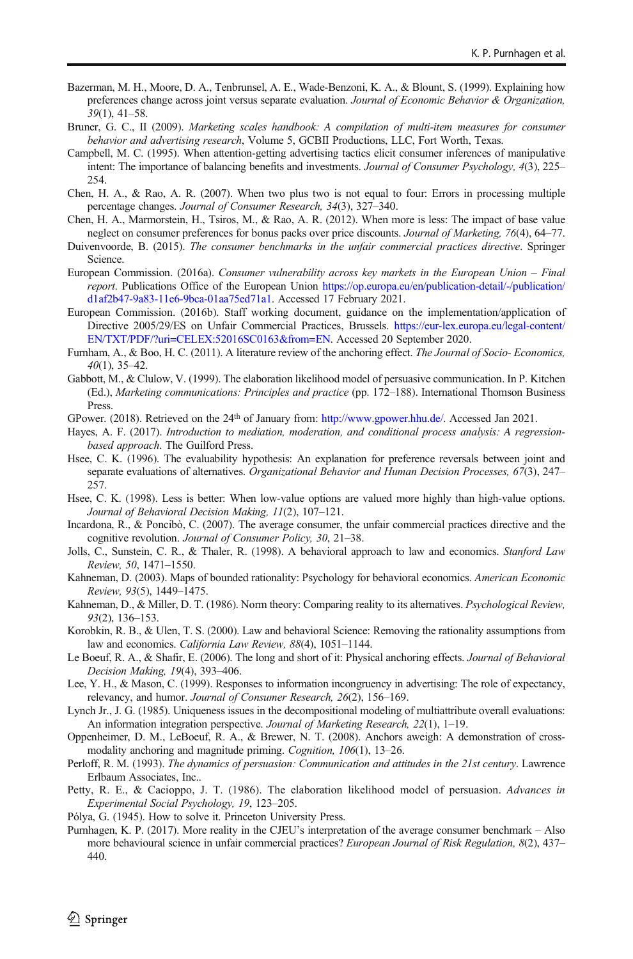- <span id="page-19-0"></span>Bazerman, M. H., Moore, D. A., Tenbrunsel, A. E., Wade-Benzoni, K. A., & Blount, S. (1999). Explaining how preferences change across joint versus separate evaluation. Journal of Economic Behavior & Organization, 39(1), 41–58.
- Bruner, G. C., II (2009). Marketing scales handbook: A compilation of multi-item measures for consumer behavior and advertising research, Volume 5, GCBII Productions, LLC, Fort Worth, Texas.
- Campbell, M. C. (1995). When attention-getting advertising tactics elicit consumer inferences of manipulative intent: The importance of balancing benefits and investments. Journal of Consumer Psychology, 4(3), 225– 254.
- Chen, H. A., & Rao, A. R. (2007). When two plus two is not equal to four: Errors in processing multiple percentage changes. Journal of Consumer Research, 34(3), 327–340.
- Chen, H. A., Marmorstein, H., Tsiros, M., & Rao, A. R. (2012). When more is less: The impact of base value neglect on consumer preferences for bonus packs over price discounts. Journal of Marketing, 76(4), 64–77.
- Duivenvoorde, B. (2015). The consumer benchmarks in the unfair commercial practices directive. Springer Science.
- European Commission. (2016a). Consumer vulnerability across key markets in the European Union Final report. Publications Office of the European Union [https://op.europa.eu/en/publication-detail/-/publication/](https://op.europa.eu/en/publication-detail/-/publication/d1af2b47-9a83-11e6-9bca-01aa75ed71a1) [d1af2b47-9a83-11e6-9bca-01aa75ed71a1.](https://op.europa.eu/en/publication-detail/-/publication/d1af2b47-9a83-11e6-9bca-01aa75ed71a1) Accessed 17 February 2021.
- European Commission. (2016b). Staff working document, guidance on the implementation/application of Directive 2005/29/ES on Unfair Commercial Practices, Brussels. [https://eur-lex.europa.eu/legal-content/](https://eur-lex.europa.eu/legal-content/EN/TXT/PDF/?uri=CELEX:52016SC0163&from=EN) [EN/TXT/PDF/?uri=CELEX:52016SC0163&from=EN](https://eur-lex.europa.eu/legal-content/EN/TXT/PDF/?uri=CELEX:52016SC0163&from=EN). Accessed 20 September 2020.
- Furnham, A., & Boo, H. C. (2011). A literature review of the anchoring effect. The Journal of Socio- Economics, 40(1), 35–42.
- Gabbott, M., & Clulow, V. (1999). The elaboration likelihood model of persuasive communication. In P. Kitchen (Ed.), Marketing communications: Principles and practice (pp. 172–188). International Thomson Business Press.
- GPower. (2018). Retrieved on the 24th of January from: [http://www.gpower.hhu.de/.](http://www.gpower.hhu.de/) Accessed Jan 2021.
- Hayes, A. F. (2017). Introduction to mediation, moderation, and conditional process analysis: A regressionbased approach. The Guilford Press.
- Hsee, C. K. (1996). The evaluability hypothesis: An explanation for preference reversals between joint and separate evaluations of alternatives. Organizational Behavior and Human Decision Processes, 67(3), 247– 257.
- Hsee, C. K. (1998). Less is better: When low-value options are valued more highly than high-value options. Journal of Behavioral Decision Making, 11(2), 107–121.
- Incardona, R., & Poncibò, C. (2007). The average consumer, the unfair commercial practices directive and the cognitive revolution. Journal of Consumer Policy, 30, 21–38.
- Jolls, C., Sunstein, C. R., & Thaler, R. (1998). A behavioral approach to law and economics. Stanford Law Review, 50, 1471–1550.
- Kahneman, D. (2003). Maps of bounded rationality: Psychology for behavioral economics. American Economic Review, 93(5), 1449–1475.
- Kahneman, D., & Miller, D. T. (1986). Norm theory: Comparing reality to its alternatives. *Psychological Review*, 93(2), 136–153.
- Korobkin, R. B., & Ulen, T. S. (2000). Law and behavioral Science: Removing the rationality assumptions from law and economics. California Law Review, 88(4), 1051-1144.
- Le Boeuf, R. A., & Shafir, E. (2006). The long and short of it: Physical anchoring effects. *Journal of Behavioral* Decision Making, 19(4), 393–406.
- Lee, Y. H., & Mason, C. (1999). Responses to information incongruency in advertising: The role of expectancy, relevancy, and humor. Journal of Consumer Research, 26(2), 156–169.
- Lynch Jr., J. G. (1985). Uniqueness issues in the decompositional modeling of multiattribute overall evaluations: An information integration perspective. Journal of Marketing Research, 22(1), 1–19.
- Oppenheimer, D. M., LeBoeuf, R. A., & Brewer, N. T. (2008). Anchors aweigh: A demonstration of crossmodality anchoring and magnitude priming. Cognition, 106(1), 13–26.
- Perloff, R. M. (1993). The dynamics of persuasion: Communication and attitudes in the 21st century. Lawrence Erlbaum Associates, Inc..
- Petty, R. E., & Cacioppo, J. T. (1986). The elaboration likelihood model of persuasion. Advances in Experimental Social Psychology, 19, 123–205.
- Pólya, G. (1945). How to solve it. Princeton University Press.
- Purnhagen, K. P. (2017). More reality in the CJEU's interpretation of the average consumer benchmark Also more behavioural science in unfair commercial practices? European Journal of Risk Regulation, 8(2), 437– 440.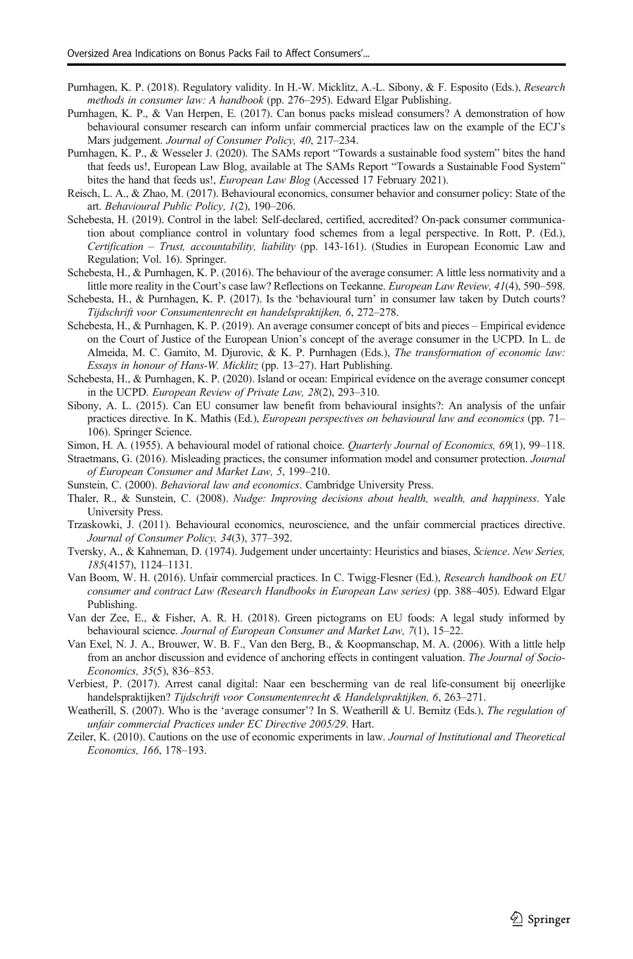- <span id="page-20-0"></span>Purnhagen, K. P. (2018). Regulatory validity. In H.-W. Micklitz, A.-L. Sibony, & F. Esposito (Eds.), Research methods in consumer law: A handbook (pp. 276–295). Edward Elgar Publishing.
- Purnhagen, K. P., & Van Herpen, E. (2017). Can bonus packs mislead consumers? A demonstration of how behavioural consumer research can inform unfair commercial practices law on the example of the ECJ's Mars judgement. Journal of Consumer Policy, 40, 217–234.
- Purnhagen, K. P., & Wesseler J. (2020). The SAMs report "Towards a sustainable food system" bites the hand that feeds us!, European Law Blog, available at The SAMs Report "Towards a Sustainable Food System" bites the hand that feeds us!, European Law Blog (Accessed 17 February 2021).
- Reisch, L. A., & Zhao, M. (2017). Behavioural economics, consumer behavior and consumer policy: State of the art. Behavioural Public Policy, 1(2), 190–206.
- Schebesta, H. (2019). Control in the label: Self-declared, certified, accredited? On-pack consumer communication about compliance control in voluntary food schemes from a legal perspective. In Rott, P. (Ed.), Certification – Trust, accountability, liability (pp. 143-161). (Studies in European Economic Law and Regulation; Vol. 16). Springer.
- Schebesta, H., & Purnhagen, K. P. (2016). The behaviour of the average consumer: A little less normativity and a little more reality in the Court's case law? Reflections on Teekanne. European Law Review, 41(4), 590–598.
- Schebesta, H., & Purnhagen, K. P. (2017). Is the 'behavioural turn' in consumer law taken by Dutch courts? Tijdschrift voor Consumentenrecht en handelspraktijken, 6, 272–278.
- Schebesta, H., & Purnhagen, K. P. (2019). An average consumer concept of bits and pieces Empirical evidence on the Court of Justice of the European Union's concept of the average consumer in the UCPD. In L. de Almeida, M. C. Gamito, M. Djurovic, & K. P. Purnhagen (Eds.), The transformation of economic law: Essays in honour of Hans-W. Micklitz (pp. 13–27). Hart Publishing.
- Schebesta, H., & Purnhagen, K. P. (2020). Island or ocean: Empirical evidence on the average consumer concept in the UCPD. European Review of Private Law, 28(2), 293–310.
- Sibony, A. L. (2015). Can EU consumer law benefit from behavioural insights?: An analysis of the unfair practices directive. In K. Mathis (Ed.), European perspectives on behavioural law and economics (pp. 71– 106). Springer Science.
- Simon, H. A. (1955). A behavioural model of rational choice. Quarterly Journal of Economics, 69(1), 99-118.
- Straetmans, G. (2016). Misleading practices, the consumer information model and consumer protection. Journal of European Consumer and Market Law, 5, 199–210.
- Sunstein, C. (2000). Behavioral law and economics. Cambridge University Press.
- Thaler, R., & Sunstein, C. (2008). Nudge: Improving decisions about health, wealth, and happiness. Yale University Press.
- Trzaskowki, J. (2011). Behavioural economics, neuroscience, and the unfair commercial practices directive. Journal of Consumer Policy, 34(3), 377–392.
- Tversky, A., & Kahneman, D. (1974). Judgement under uncertainty: Heuristics and biases, Science. New Series, 185(4157), 1124–1131.
- Van Boom, W. H. (2016). Unfair commercial practices. In C. Twigg-Flesner (Ed.), Research handbook on EU consumer and contract Law (Research Handbooks in European Law series) (pp. 388–405). Edward Elgar Publishing.
- Van der Zee, E., & Fisher, A. R. H. (2018). Green pictograms on EU foods: A legal study informed by behavioural science. Journal of European Consumer and Market Law, 7(1), 15–22.
- Van Exel, N. J. A., Brouwer, W. B. F., Van den Berg, B., & Koopmanschap, M. A. (2006). With a little help from an anchor discussion and evidence of anchoring effects in contingent valuation. The Journal of Socio-Economics, 35(5), 836–853.
- Verbiest, P. (2017). Arrest canal digital: Naar een bescherming van de real life-consument bij oneerlijke handelspraktijken? Tijdschrift voor Consumentenrecht & Handelspraktijken, 6, 263–271.
- Weatherill, S. (2007). Who is the 'average consumer'? In S. Weatherill & U. Bernitz (Eds.), The regulation of unfair commercial Practices under EC Directive 2005/29. Hart.
- Zeiler, K. (2010). Cautions on the use of economic experiments in law. Journal of Institutional and Theoretical Economics, 166, 178–193.